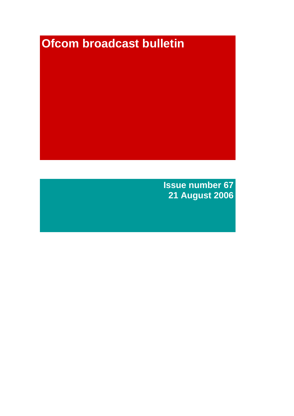# **Ofcom broadcast bulletin**

**Issue number 67 21 August 2006**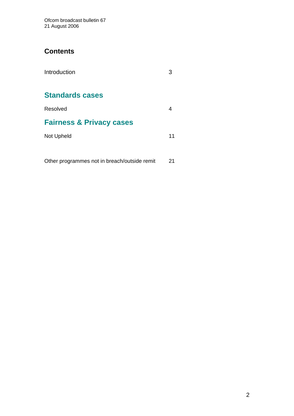Ofcom broadcast bulletin 67 21 August 2006

### **Contents**

| Introduction                                 |    |
|----------------------------------------------|----|
| <b>Standards cases</b>                       |    |
| Resolved                                     |    |
| <b>Fairness &amp; Privacy cases</b>          |    |
| Not Upheld                                   | 11 |
|                                              |    |
| Other programmes not in breach/outside remit | 21 |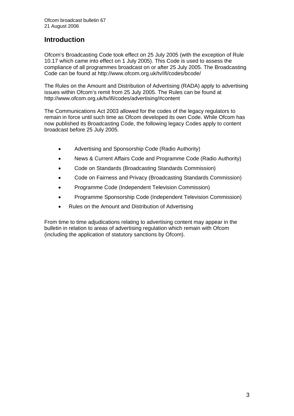# **Introduction**

Ofcom's Broadcasting Code took effect on 25 July 2005 (with the exception of Rule 10.17 which came into effect on 1 July 2005). This Code is used to assess the compliance of all programmes broadcast on or after 25 July 2005. The Broadcasting Code can be found at http://www.ofcom.org.uk/tv/ifi/codes/bcode/

The Rules on the Amount and Distribution of Advertising (RADA) apply to advertising issues within Ofcom's remit from 25 July 2005. The Rules can be found at http://www.ofcom.org.uk/tv/ifi/codes/advertising/#content

The Communications Act 2003 allowed for the codes of the legacy regulators to remain in force until such time as Ofcom developed its own Code. While Ofcom has now published its Broadcasting Code, the following legacy Codes apply to content broadcast before 25 July 2005.

- Advertising and Sponsorship Code (Radio Authority)
- News & Current Affairs Code and Programme Code (Radio Authority)
- Code on Standards (Broadcasting Standards Commission)
- Code on Fairness and Privacy (Broadcasting Standards Commission)
- Programme Code (Independent Television Commission)
- Programme Sponsorship Code (Independent Television Commission)
- Rules on the Amount and Distribution of Advertising

From time to time adjudications relating to advertising content may appear in the bulletin in relation to areas of advertising regulation which remain with Ofcom (including the application of statutory sanctions by Ofcom).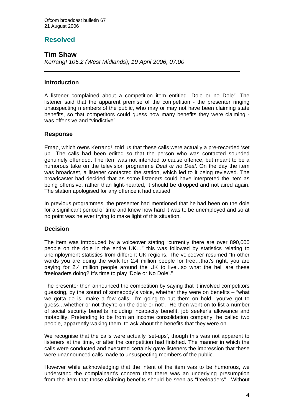# **Resolved**

### **Tim Shaw**

 $\overline{a}$ 

*Kerrang! 105.2 (West Midlands), 19 April 2006, 07:00* 

#### **Introduction**

A listener complained about a competition item entitled "Dole or no Dole". The listener said that the apparent premise of the competition - the presenter ringing unsuspecting members of the public, who may or may not have been claiming state benefits, so that competitors could guess how many benefits they were claiming was offensive and "vindictive".

#### **Response**

Emap, which owns Kerrang!, told us that these calls were actually a pre-recorded 'set up'. The calls had been edited so that the person who was contacted sounded genuinely offended. The item was not intended to cause offence, but meant to be a humorous take on the television programme *Deal or no Deal*. On the day the item was broadcast, a listener contacted the station, which led to it being reviewed. The broadcaster had decided that as some listeners could have interpreted the item as being offensive, rather than light-hearted, it should be dropped and not aired again. The station apologised for any offence it had caused.

In previous programmes, the presenter had mentioned that he had been on the dole for a significant period of time and knew how hard it was to be unemployed and so at no point was he ever trying to make light of this situation.

#### **Decision**

The item was introduced by a voiceover stating "currently there are over 890,000 people on the dole in the entire UK…" this was followed by statistics relating to unemployment statistics from different UK regions. The voiceover resumed "In other words you are doing the work for 2.4 million people for free…that's right, you are paying for 2.4 million people around the UK to live...so what the hell are these freeloaders doing? It's time to play 'Dole or No Dole'."

The presenter then announced the competition by saying that it involved competitors guessing, by the sound of somebody's voice, whether they were on benefits – "what we gotta do is...make a few calls…I'm going to put them on hold…you've got to guess…whether or not they're on the dole or not". He then went on to list a number of social security benefits including incapacity benefit, job seeker's allowance and motability. Pretending to be from an income consolidation company, he called two people, apparently waking them, to ask about the benefits that they were on.

We recognise that the calls were actually 'set-ups', though this was not apparent to listeners at the time, or after the competition had finished. The manner in which the calls were conducted and executed certainly gave listeners the impression that these were unannounced calls made to unsuspecting members of the public.

However while acknowledging that the intent of the item was to be humorous, we understand the complainant's concern that there was an underlying presumption from the item that those claiming benefits should be seen as "freeloaders". Without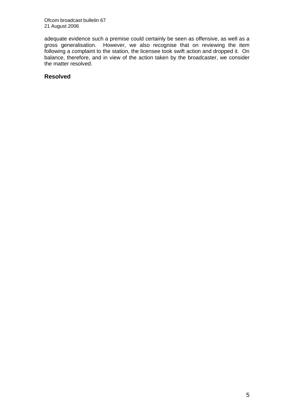Ofcom broadcast bulletin 67 21 August 2006

adequate evidence such a premise could certainly be seen as offensive, as well as a gross generalisation. However, we also recognise that on reviewing the item following a complaint to the station, the licensee took swift action and dropped it. On balance, therefore, and in view of the action taken by the broadcaster, we consider the matter resolved.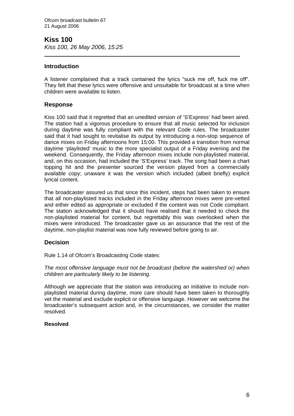# **Kiss 100**

 $\overline{a}$ 

*Kiss 100, 26 May 2006, 15:25* 

#### **Introduction**

A listener complained that a track contained the lyrics "suck me off, fuck me off". They felt that these lyrics were offensive and unsuitable for broadcast at a time when children were available to listen.

#### **Response**

Kiss 100 said that it regretted that an unedited version of 'S'Express' had been aired. The station had a vigorous procedure to ensure that all music selected for inclusion during daytime was fully compliant with the relevant Code rules. The broadcaster said that it had sought to revitalise its output by introducing a non-stop sequence of dance mixes on Friday afternoons from 15:00. This provided a transition from normal daytime 'playlisted' music to the more specialist output of a Friday evening and the weekend. Consequently, the Friday afternoon mixes include non-playlisted material, and, on this occasion, had included the 'S'Express' track. The song had been a chart topping hit and the presenter sourced the version played from a commercially available copy; unaware it was the version which included (albeit briefly) explicit lyrical content.

The broadcaster assured us that since this incident, steps had been taken to ensure that all non-playlisted tracks included in the Friday afternoon mixes were pre-vetted and either edited as appropriate or excluded if the content was not Code compliant. The station acknowledged that it should have realised that it needed to check the non-playlisted material for content, but regrettably this was overlooked when the mixes were introduced. The broadcaster gave us an assurance that the rest of the daytime, non-playlist material was now fully reviewed before going to air.

#### **Decision**

Rule 1.14 of Ofcom's Broadcasting Code states:

*The most offensive language must not be broadcast (before the watershed or) when children are particularly likely to be listening.*

Although we appreciate that the station was introducing an initiative to include nonplaylisted material during daytime, more care should have been taken to thoroughly vet the material and exclude explicit or offensive language. However we welcome the broadcaster's subsequent action and, in the circumstances, we consider the matter resolved.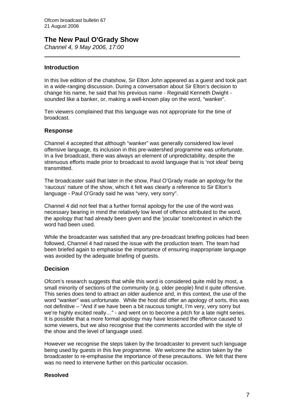# **The New Paul O'Grady Show**

*Channel 4, 9 May 2006, 17:00*   $\overline{a}$ 

#### **Introduction**

In this live edition of the chatshow, Sir Elton John appeared as a guest and took part in a wide-ranging discussion. During a conversation about Sir Elton's decision to change his name, he said that his previous name - Reginald Kenneth Dwight sounded like a banker, or, making a well-known play on the word, "wanker".

Ten viewers complained that this language was not appropriate for the time of broadcast.

#### **Response**

Channel 4 accepted that although "wanker" was generally considered low level offensive language, its inclusion in this pre-watershed programme was unfortunate. In a live broadcast, there was always an element of unpredictability, despite the strenuous efforts made prior to broadcast to avoid language that is 'not ideal' being transmitted.

The broadcaster said that later in the show, Paul O'Grady made an apology for the 'raucous' nature of the show, which it felt was clearly a reference to Sir Elton's language - Paul O'Grady said he was "very, very sorry".

Channel 4 did not feel that a further formal apology for the use of the word was necessary bearing in mind the relatively low level of offence attributed to the word, the apology that had already been given and the 'jocular' tone/context in which the word had been used.

While the broadcaster was satisfied that any pre-broadcast briefing policies had been followed, Channel 4 had raised the issue with the production team. The team had been briefed again to emphasise the importance of ensuring inappropriate language was avoided by the adequate briefing of guests.

#### **Decision**

Ofcom's research suggests that while this word is considered quite mild by most, a small minority of sections of the community (e.g. older people) find it quite offensive. This series does tend to attract an older audience and, in this context, the use of the word "wanker" was unfortunate. While the host did offer an apology of sorts, this was not definitive – "And if we have been a bit raucous tonight, I'm very, very sorry but we're highly excited really…" - and went on to become a pitch for a late night series. It is possible that a more formal apology may have lessened the offence caused to some viewers, but we also recognise that the comments accorded with the style of the show and the level of language used.

However we recognise the steps taken by the broadcaster to prevent such language being used by guests in this live programme. We welcome the action taken by the broadcaster to re-emphasise the importance of these precautions. We felt that there was no need to intervene further on this particular occasion.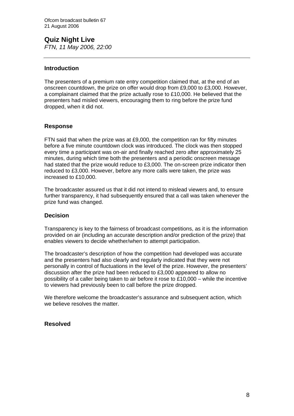**Quiz Night Live**  *FTN, 11 May 2006, 22:00*

#### **Introduction**

The presenters of a premium rate entry competition claimed that, at the end of an onscreen countdown, the prize on offer would drop from £9,000 to £3,000. However, a complainant claimed that the prize actually rose to £10,000. He believed that the presenters had misled viewers, encouraging them to ring before the prize fund dropped, when it did not.

#### **Response**

FTN said that when the prize was at £9,000, the competition ran for fifty minutes before a five minute countdown clock was introduced. The clock was then stopped every time a participant was on-air and finally reached zero after approximately 25 minutes, during which time both the presenters and a periodic onscreen message had stated that the prize would reduce to £3,000. The on-screen prize indicator then reduced to £3,000. However, before any more calls were taken, the prize was increased to £10,000.

The broadcaster assured us that it did not intend to mislead viewers and, to ensure further transparency, it had subsequently ensured that a call was taken whenever the prize fund was changed.

#### **Decision**

Transparency is key to the fairness of broadcast competitions, as it is the information provided on air (including an accurate description and/or prediction of the prize) that enables viewers to decide whether/when to attempt participation.

The broadcaster's description of how the competition had developed was accurate and the presenters had also clearly and regularly indicated that they were not personally in control of fluctuations in the level of the prize. However, the presenters' discussion after the prize had been reduced to £3,000 appeared to allow no possibility of a caller being taken to air before it rose to  $£10,000 -$  while the incentive to viewers had previously been to call before the prize dropped.

We therefore welcome the broadcaster's assurance and subsequent action, which we believe resolves the matter.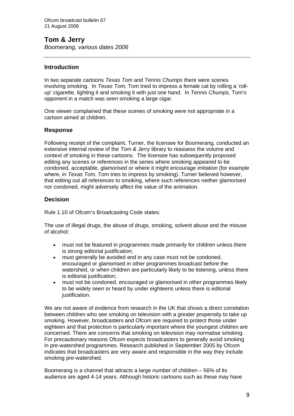# **Tom & Jerry**

*Boomerang, various dates 2006*

#### **Introduction**

In two separate cartoons *Texas Tom* and *Tennis Chumps* there were scenes involving smoking. In *Texas Tom,* Tom tried to impress a female cat by rolling a 'rollup' cigarette, lighting it and smoking it with just one hand. In *Tennis Chumps,* Tom's opponent in a match was seen smoking a large cigar.

One viewer complained that these scenes of smoking were not appropriate in a cartoon aimed at children.

#### **Response**

Following receipt of the complaint, Turner, the licensee for Boomerang, conducted an extensive internal review of the *Tom & Jerry* library to reassess the volume and context of smoking in these cartoons. The licensee has subsequently proposed editing any scenes or references in the series where smoking appeared to be condoned, acceptable, glamorised or where it might encourage imitation (for example where, in *Texas Tom*, Tom tries to impress by smoking). Turner believed however, that editing out all references to smoking, where such references neither glamorised nor condoned, might adversely affect the value of the animation.

#### **Decision**

Rule 1.10 of Ofcom's Broadcasting Code states:

The use of illegal drugs, the abuse of drugs, smoking, solvent abuse and the misuse of alcohol:

- must not be featured in programmes made primarily for children unless there is strong editorial justification;
- must generally be avoided and in any case must not be condoned, encouraged or glamorised in other programmes broadcast before the watershed, or when children are particularly likely to be listening, unless there is editorial justification;
- must not be condoned, encouraged or glamorised in other programmes likely to be widely seen or heard by under eighteens unless there is editorial justification.

We are not aware of evidence from research in the UK that shows a direct correlation between children who see smoking on television with a greater propensity to take up smoking. However, broadcasters and Ofcom are required to protect those under eighteen and that protection is particularly important where the youngest children are concerned. There are concerns that smoking on television may normalise smoking. For precautionary reasons Ofcom expects broadcasters to generally avoid smoking in pre-watershed programmes. Research published in September 2005 by Ofcom indicates that broadcasters are very aware and responsible in the way they include smoking pre-watershed.

Boomerang is a channel that attracts a large number of children – 56% of its audience are aged 4-14 years. Although historic cartoons such as these may have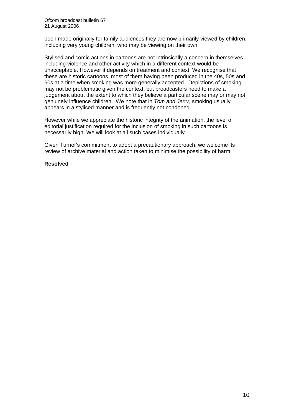Ofcom broadcast bulletin 67 21 August 2006

been made originally for family audiences they are now primarily viewed by children, including very young children, who may be viewing on their own.

Stylised and comic actions in cartoons are not intrinsically a concern in themselves including violence and other activity which in a different context would be unacceptable. However it depends on treatment and context. We recognise that these are historic cartoons, most of them having been produced in the 40s, 50s and 60s at a time when smoking was more generally accepted. Depictions of smoking may not be problematic given the context, but broadcasters need to make a judgement about the extent to which they believe a particular scene may or may not genuinely influence children. We note that in *Tom and Jerry*, smoking usually appears in a stylised manner and is frequently not condoned.

However while we appreciate the historic integrity of the animation, the level of editorial justification required for the inclusion of smoking in such cartoons is necessarily high. We will look at all such cases individually.

Given Turner's commitment to adopt a precautionary approach, we welcome its review of archive material and action taken to minimise the possibility of harm.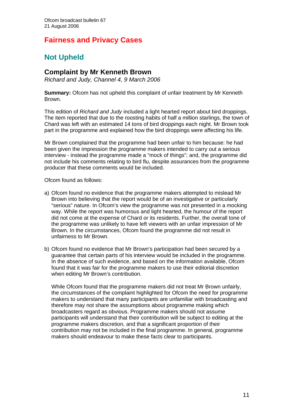# **Fairness and Privacy Cases**

# **Not Upheld**

#### **Complaint by Mr Kenneth Brown**

*Richard and Judy, Channel 4, 9 March 2006* 

**Summary:** Ofcom has not upheld this complaint of unfair treatment by Mr Kenneth Brown.

This edition of *Richard and Judy* included a light hearted report about bird droppings. The item reported that due to the roosting habits of half a million starlings, the town of Chard was left with an estimated 14 tons of bird droppings each night. Mr Brown took part in the programme and explained how the bird droppings were affecting his life.

Mr Brown complained that the programme had been unfair to him because: he had been given the impression the programme makers intended to carry out a serious interview - instead the programme made a "mock of things"; and, the programme did not include his comments relating to bird flu, despite assurances from the programme producer that these comments would be included.

Ofcom found as follows:

- a) Ofcom found no evidence that the programme makers attempted to mislead Mr Brown into believing that the report would be of an investigative or particularly "serious" nature. In Ofcom's view the programme was not presented in a mocking way. While the report was humorous and light hearted, the humour of the report did not come at the expense of Chard or its residents. Further, the overall tone of the programme was unlikely to have left viewers with an unfair impression of Mr Brown. In the circumstances, Ofcom found the programme did not result in unfairness to Mr Brown.
- b) Ofcom found no evidence that Mr Brown's participation had been secured by a guarantee that certain parts of his interview would be included in the programme. In the absence of such evidence, and based on the information available, Ofcom found that it was fair for the programme makers to use their editorial discretion when editing Mr Brown's contribution.

While Ofcom found that the programme makers did not treat Mr Brown unfairly, the circumstances of the complaint highlighted for Ofcom the need for programme makers to understand that many participants are unfamiliar with broadcasting and therefore may not share the assumptions about programme making which broadcasters regard as obvious. Programme makers should not assume participants will understand that their contribution will be subject to editing at the programme makers discretion, and that a significant proportion of their contribution may not be included in the final programme. In general, programme makers should endeavour to make these facts clear to participants.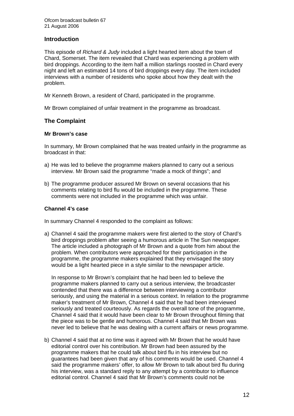#### **Introduction**

This episode of *Richard & Judy* included a light hearted item about the town of Chard, Somerset. The item revealed that Chard was experiencing a problem with bird droppings. According to the item half a million starlings roosted in Chard every night and left an estimated 14 tons of bird droppings every day. The item included interviews with a number of residents who spoke about how they dealt with the problem.

Mr Kenneth Brown, a resident of Chard, participated in the programme.

Mr Brown complained of unfair treatment in the programme as broadcast.

#### **The Complaint**

#### **Mr Brown's case**

In summary, Mr Brown complained that he was treated unfairly in the programme as broadcast in that:

- a) He was led to believe the programme makers planned to carry out a serious interview. Mr Brown said the programme "made a mock of things"; and
- b) The programme producer assured Mr Brown on several occasions that his comments relating to bird flu would be included in the programme. These comments were not included in the programme which was unfair.

#### **Channel 4's case**

In summary Channel 4 responded to the complaint as follows:

a) Channel 4 said the programme makers were first alerted to the story of Chard's bird droppings problem after seeing a humorous article in The Sun newspaper. The article included a photograph of Mr Brown and a quote from him about the problem. When contributors were approached for their participation in the programme, the programme makers explained that they envisaged the story would be a light hearted piece in a style similar to the newspaper article.

In response to Mr Brown's complaint that he had been led to believe the programme makers planned to carry out a serious interview, the broadcaster contended that there was a difference between interviewing a contributor seriously, and using the material in a serious context. In relation to the programme maker's treatment of Mr Brown, Channel 4 said that he had been interviewed seriously and treated courteously. As regards the overall tone of the programme, Channel 4 said that it would have been clear to Mr Brown throughout filming that the piece was to be gentle and humorous. Channel 4 said that Mr Brown was never led to believe that he was dealing with a current affairs or news programme.

b) Channel 4 said that at no time was it agreed with Mr Brown that he would have editorial control over his contribution. Mr Brown had been assured by the programme makers that he could talk about bird flu in his interview but no guarantees had been given that any of his comments would be used. Channel 4 said the programme makers' offer, to allow Mr Brown to talk about bird flu during his interview, was a standard reply to any attempt by a contributor to influence editorial control. Channel 4 said that Mr Brown's comments could not be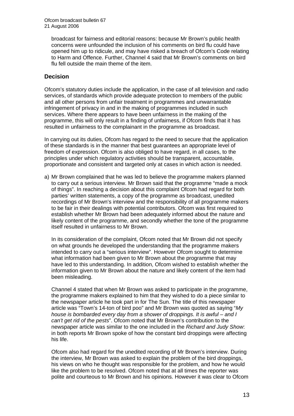broadcast for fairness and editorial reasons: because Mr Brown's public health concerns were unfounded the inclusion of his comments on bird flu could have opened him up to ridicule, and may have risked a breach of Ofcom's Code relating to Harm and Offence. Further, Channel 4 said that Mr Brown's comments on bird flu fell outside the main theme of the item.

#### **Decision**

Ofcom's statutory duties include the application, in the case of all television and radio services, of standards which provide adequate protection to members of the public and all other persons from unfair treatment in programmes and unwarrantable infringement of privacy in and in the making of programmes included in such services. Where there appears to have been unfairness in the making of the programme, this will only result in a finding of unfairness, if Ofcom finds that it has resulted in unfairness to the complainant in the programme as broadcast.

In carrying out its duties, Ofcom has regard to the need to secure that the application of these standards is in the manner that best guarantees an appropriate level of freedom of expression. Ofcom is also obliged to have regard, in all cases, to the principles under which regulatory activities should be transparent, accountable, proportionate and consistent and targeted only at cases in which action is needed.

a) Mr Brown complained that he was led to believe the programme makers planned to carry out a serious interview. Mr Brown said that the programme "made a mock of things". In reaching a decision about this complaint Ofcom had regard for both parties' written statements, a copy of the programme as broadcast, unedited recordings of Mr Brown's interview and the responsibility of all programme makers to be fair in their dealings with potential contributors. Ofcom was first required to establish whether Mr Brown had been adequately informed about the nature and likely content of the programme, and secondly whether the tone of the programme itself resulted in unfairness to Mr Brown.

In its consideration of the complaint, Ofcom noted that Mr Brown did not specify on what grounds he developed the understanding that the programme makers intended to carry out a "serious interview". However Ofcom sought to determine what information had been given to Mr Brown about the programme that may have led to this understanding. In addition, Ofcom wished to establish whether the information given to Mr Brown about the nature and likely content of the item had been misleading.

Channel 4 stated that when Mr Brown was asked to participate in the programme, the programme makers explained to him that they wished to do a piece similar to the newspaper article he took part in for The Sun. The title of this newspaper article was "Town's 14-ton of bird poo" and Mr Brown was quoted as saying "*My house is bombarded every day from a shower of droppings. It is awful – and I can't get rid of the pests*". Ofcom noted that Mr Brown's contribution to the newspaper article was similar to the one included in the *Richard and Judy Show*: in both reports Mr Brown spoke of how the constant bird droppings were affecting his life.

Ofcom also had regard for the unedited recording of Mr Brown's interview. During the interview, Mr Brown was asked to explain the problem of the bird droppings, his views on who he thought was responsible for the problem, and how he would like the problem to be resolved. Ofcom noted that at all times the reporter was polite and courteous to Mr Brown and his opinions. However it was clear to Ofcom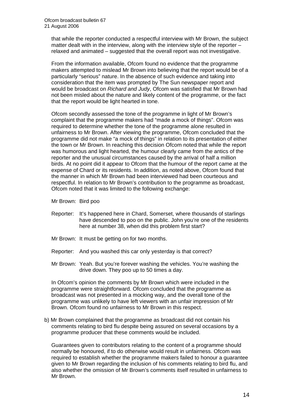that while the reporter conducted a respectful interview with Mr Brown, the subject matter dealt with in the interview, along with the interview style of the reporter – relaxed and animated – suggested that the overall report was not investigative.

From the information available, Ofcom found no evidence that the programme makers attempted to mislead Mr Brown into believing that the report would be of a particularly "serious" nature. In the absence of such evidence and taking into consideration that the item was prompted by The Sun newspaper report and would be broadcast on *Richard and Judy*, Ofcom was satisfied that Mr Brown had not been misled about the nature and likely content of the programme, or the fact that the report would be light hearted in tone.

Ofcom secondly assessed the tone of the programme in light of Mr Brown's complaint that the programme makers had "made a mock of things". Ofcom was required to determine whether the tone of the programme alone resulted in unfairness to Mr Brown. After viewing the programme, Ofcom concluded that the programme did not make "a mock of things" in relation to its presentation of either the town or Mr Brown. In reaching this decision Ofcom noted that while the report was humorous and light hearted, the humour clearly came from the antics of the reporter and the unusual circumstances caused by the arrival of half a million birds. At no point did it appear to Ofcom that the humour of the report came at the expense of Chard or its residents. In addition, as noted above, Ofcom found that the manner in which Mr Brown had been interviewed had been courteous and respectful. In relation to Mr Brown's contribution to the programme as broadcast, Ofcom noted that it was limited to the following exchange:

Mr Brown: Bird poo

- Reporter: It's happened here in Chard, Somerset, where thousands of starlings have descended to poo on the public. John you're one of the residents here at number 38, when did this problem first start?
- Mr Brown: It must be getting on for two months.
- Reporter: And you washed this car only yesterday is that correct?
- Mr Brown: Yeah. But you're forever washing the vehicles. You're washing the drive down. They poo up to 50 times a day.

 In Ofcom's opinion the comments by Mr Brown which were included in the programme were straightforward. Ofcom concluded that the programme as broadcast was not presented in a mocking way, and the overall tone of the programme was unlikely to have left viewers with an unfair impression of Mr Brown. Ofcom found no unfairness to Mr Brown in this respect.

b) Mr Brown complained that the programme as broadcast did not contain his comments relating to bird flu despite being assured on several occasions by a programme producer that these comments would be included.

 Guarantees given to contributors relating to the content of a programme should normally be honoured, if to do otherwise would result in unfairness. Ofcom was required to establish whether the programme makers failed to honour a guarantee given to Mr Brown regarding the inclusion of his comments relating to bird flu, and also whether the omission of Mr Brown's comments itself resulted in unfairness to Mr Brown.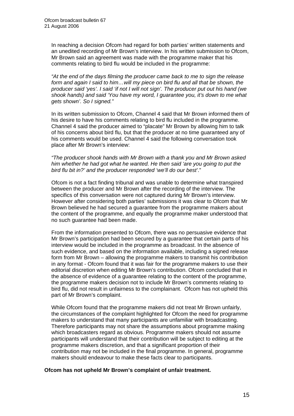In reaching a decision Ofcom had regard for both parties' written statements and an unedited recording of Mr Brown's interview. In his written submission to Ofcom, Mr Brown said an agreement was made with the programme maker that his comments relating to bird flu would be included in the programme:

*"At the end of the days filming the producer came back to me to sign the release form and again I said to him…will my piece on bird flu and all that be shown, the producer said 'yes'. I said 'if not I will not sign'. The producer put out his hand (we shook hands) and said 'You have my word, I guarantee you, it's down to me what gets shown'. So I signed."* 

 In its written submission to Ofcom, Channel 4 said that Mr Brown informed them of his desire to have his comments relating to bird flu included in the programme. Channel 4 said the producer aimed to "placate" Mr Brown by allowing him to talk of his concerns about bird flu, but that the producer at no time guaranteed any of his comments would be used. Channel 4 said the following conversation took place after Mr Brown's interview:

*"The producer shook hands with Mr Brown with a thank you and Mr Brown asked him whether he had got what he wanted. He then said 'are you going to put the bird flu bit in?' and the producer responded 'we'll do our best'*."

 Ofcom is not a fact finding tribunal and was unable to determine what transpired between the producer and Mr Brown after the recording of the interview. The specifics of this conversation were not captured during Mr Brown's interview. However after considering both parties' submissions it was clear to Ofcom that Mr Brown believed he had secured a guarantee from the programme makers about the content of the programme, and equally the programme maker understood that no such guarantee had been made.

From the information presented to Ofcom, there was no persuasive evidence that Mr Brown's participation had been secured by a guarantee that certain parts of his interview would be included in the programme as broadcast. In the absence of such evidence, and based on the information available, including a signed release form from Mr Brown – allowing the programme makers to transmit his contribution in any format - Ofcom found that it was fair for the programme makers to use their editorial discretion when editing Mr Brown's contribution. Ofcom concluded that in the absence of evidence of a guarantee relating to the content of the programme, the programme makers decision not to include Mr Brown's comments relating to bird flu, did not result in unfairness to the complainant. Ofcom has not upheld this part of Mr Brown's complaint.

While Ofcom found that the programme makers did not treat Mr Brown unfairly, the circumstances of the complaint highlighted for Ofcom the need for programme makers to understand that many participants are unfamiliar with broadcasting. Therefore participants may not share the assumptions about programme making which broadcasters regard as obvious. Programme makers should not assume participants will understand that their contribution will be subject to editing at the programme makers discretion, and that a significant proportion of their contribution may not be included in the final programme. In general, programme makers should endeavour to make these facts clear to participants.

#### **Ofcom has not upheld Mr Brown's complaint of unfair treatment.**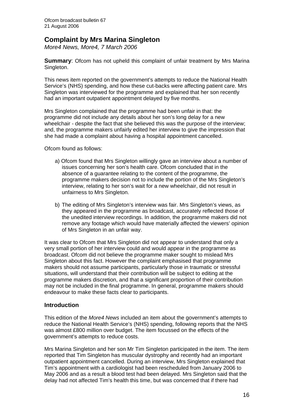### **Complaint by Mrs Marina Singleton**

*More4 News, More4, 7 March 2006* 

**Summary:** Ofcom has not upheld this complaint of unfair treatment by Mrs Marina Singleton.

This news item reported on the government's attempts to reduce the National Health Service's (NHS) spending, and how these cut-backs were affecting patient care. Mrs Singleton was interviewed for the programme and explained that her son recently had an important outpatient appointment delayed by five months.

Mrs Singleton complained that the programme had been unfair in that: the programme did not include any details about her son's long delay for a new wheelchair - despite the fact that she believed this was the purpose of the interview; and, the programme makers unfairly edited her interview to give the impression that she had made a complaint about having a hospital appointment cancelled.

Ofcom found as follows:

- a) Ofcom found that Mrs Singleton willingly gave an interview about a number of issues concerning her son's health care. Ofcom concluded that in the absence of a guarantee relating to the content of the programme, the programme makers decision not to include the portion of the Mrs Singleton's interview, relating to her son's wait for a new wheelchair, did not result in unfairness to Mrs Singleton.
- b) The editing of Mrs Singleton's interview was fair. Mrs Singleton's views, as they appeared in the programme as broadcast, accurately reflected those of the unedited interview recordings. In addition, the programme makers did not remove any footage which would have materially affected the viewers' opinion of Mrs Singleton in an unfair way.

It was clear to Ofcom that Mrs Singleton did not appear to understand that only a very small portion of her interview could and would appear in the programme as broadcast. Ofcom did not believe the programme maker sought to mislead Mrs Singleton about this fact. However the complaint emphasised that programme makers should not assume participants, particularly those in traumatic or stressful situations, will understand that their contribution will be subject to editing at the programme makers discretion, and that a significant proportion of their contribution may not be included in the final programme. In general, programme makers should endeavour to make these facts clear to participants.

#### **Introduction**

This edition of the *More4 News* included an item about the government's attempts to reduce the National Health Service's (NHS) spending, following reports that the NHS was almost £800 million over budget. The item focussed on the effects of the government's attempts to reduce costs.

Mrs Marina Singleton and her son Mr Tim Singleton participated in the item. The item reported that Tim Singleton has muscular dystrophy and recently had an important outpatient appointment cancelled. During an interview, Mrs Singleton explained that Tim's appointment with a cardiologist had been rescheduled from January 2006 to May 2006 and as a result a blood test had been delayed. Mrs Singleton said that the delay had not affected Tim's health this time, but was concerned that if there had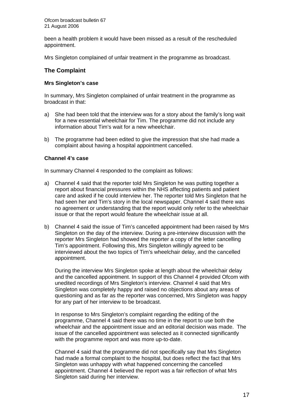been a health problem it would have been missed as a result of the rescheduled appointment.

Mrs Singleton complained of unfair treatment in the programme as broadcast.

#### **The Complaint**

#### **Mrs Singleton's case**

In summary, Mrs Singleton complained of unfair treatment in the programme as broadcast in that:

- a) She had been told that the interview was for a story about the family's long wait for a new essential wheelchair for Tim. The programme did not include any information about Tim's wait for a new wheelchair.
- b) The programme had been edited to give the impression that she had made a complaint about having a hospital appointment cancelled.

#### **Channel 4's case**

In summary Channel 4 responded to the complaint as follows:

- a) Channel 4 said that the reporter told Mrs Singleton he was putting together a report about financial pressures within the NHS affecting patients and patient care and asked if he could interview her. The reporter told Mrs Singleton that he had seen her and Tim's story in the local newspaper. Channel 4 said there was no agreement or understanding that the report would only refer to the wheelchair issue or that the report would feature the wheelchair issue at all.
- b) Channel 4 said the issue of Tim's cancelled appointment had been raised by Mrs Singleton on the day of the interview. During a pre-interview discussion with the reporter Mrs Singleton had showed the reporter a copy of the letter cancelling Tim's appointment. Following this, Mrs Singleton willingly agreed to be interviewed about the two topics of Tim's wheelchair delay, and the cancelled appointment.

During the interview Mrs Singleton spoke at length about the wheelchair delay and the cancelled appointment. In support of this Channel 4 provided Ofcom with unedited recordings of Mrs Singleton's interview. Channel 4 said that Mrs Singleton was completely happy and raised no objections about any areas of questioning and as far as the reporter was concerned, Mrs Singleton was happy for any part of her interview to be broadcast.

In response to Mrs Singleton's complaint regarding the editing of the programme, Channel 4 said there was no time in the report to use both the wheelchair and the appointment issue and an editorial decision was made. The issue of the cancelled appointment was selected as it connected significantly with the programme report and was more up-to-date.

Channel 4 said that the programme did not specifically say that Mrs Singleton had made a formal complaint to the hospital, but does reflect the fact that Mrs Singleton was unhappy with what happened concerning the cancelled appointment. Channel 4 believed the report was a fair reflection of what Mrs Singleton said during her interview.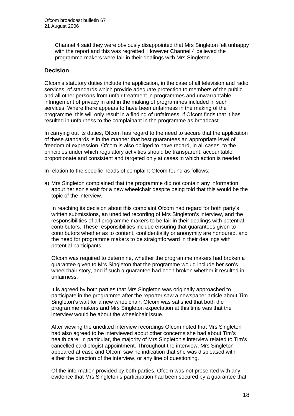Channel 4 said they were obviously disappointed that Mrs Singleton felt unhappy with the report and this was regretted. However Channel 4 believed the programme makers were fair in their dealings with Mrs Singleton.

#### **Decision**

Ofcom's statutory duties include the application, in the case of all television and radio services, of standards which provide adequate protection to members of the public and all other persons from unfair treatment in programmes and unwarrantable infringement of privacy in and in the making of programmes included in such services. Where there appears to have been unfairness in the making of the programme, this will only result in a finding of unfairness, if Ofcom finds that it has resulted in unfairness to the complainant in the programme as broadcast.

In carrying out its duties, Ofcom has regard to the need to secure that the application of these standards is in the manner that best guarantees an appropriate level of freedom of expression. Ofcom is also obliged to have regard, in all cases, to the principles under which regulatory activities should be transparent, accountable, proportionate and consistent and targeted only at cases in which action is needed.

In relation to the specific heads of complaint Ofcom found as follows:

a) Mrs Singleton complained that the programme did not contain any information about her son's wait for a new wheelchair despite being told that this would be the topic of the interview.

In reaching its decision about this complaint Ofcom had regard for both party's written submissions, an unedited recording of Mrs Singleton's interview, and the responsibilities of all programme makers to be fair in their dealings with potential contributors. These responsibilities include ensuring that guarantees given to contributors whether as to content, confidentiality or anonymity are honoured, and the need for programme makers to be straightforward in their dealings with potential participants.

 Ofcom was required to determine, whether the programme makers had broken a guarantee given to Mrs Singleton that the programme would include her son's wheelchair story, and if such a guarantee had been broken whether it resulted in unfairness.

 It is agreed by both parties that Mrs Singleton was originally approached to participate in the programme after the reporter saw a newspaper article about Tim Singleton's wait for a new wheelchair. Ofcom was satisfied that both the programme makers and Mrs Singleton expectation at this time was that the interview would be about the wheelchair issue.

 After viewing the unedited interview recordings Ofcom noted that Mrs Singleton had also agreed to be interviewed about other concerns she had about Tim's health care. In particular, the majority of Mrs Singleton's interview related to Tim's cancelled cardiologist appointment. Throughout the interview, Mrs Singleton appeared at ease and Ofcom saw no indication that she was displeased with either the direction of the interview, or any line of questioning.

Of the information provided by both parties, Ofcom was not presented with any evidence that Mrs Singleton's participation had been secured by a guarantee that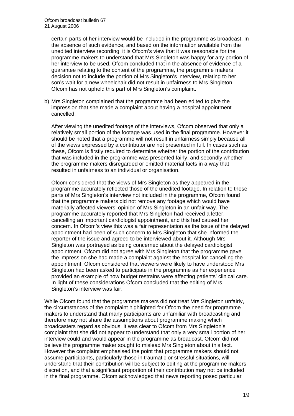certain parts of her interview would be included in the programme as broadcast. In the absence of such evidence, and based on the information available from the unedited interview recording, it is Ofcom's view that it was reasonable for the programme makers to understand that Mrs Singleton was happy for any portion of her interview to be used. Ofcom concluded that in the absence of evidence of a guarantee relating to the content of the programme, the programme makers decision not to include the portion of Mrs Singleton's interview, relating to her son's wait for a new wheelchair did not result in unfairness to Mrs Singleton. Ofcom has not upheld this part of Mrs Singleton's complaint.

b) Mrs Singleton complained that the programme had been edited to give the impression that she made a complaint about having a hospital appointment cancelled.

After viewing the unedited footage of the interviews, Ofcom observed that only a relatively small portion of the footage was used in the final programme. However it should be noted that a programme will not result in unfairness simply because all of the views expressed by a contributor are not presented in full. In cases such as these, Ofcom is firstly required to determine whether the portion of the contribution that was included in the programme was presented fairly, and secondly whether the programme makers disregarded or omitted material facts in a way that resulted in unfairness to an individual or organisation.

Ofcom considered that the views of Mrs Singleton as they appeared in the programme accurately reflected those of the unedited footage. In relation to those parts of Mrs Singleton's interview not included in the programme, Ofcom found that the programme makers did not remove any footage which would have materially affected viewers' opinion of Mrs Singleton in an unfair way. The programme accurately reported that Mrs Singleton had received a letter, cancelling an important cardiologist appointment, and this had caused her concern. In Ofcom's view this was a fair representation as the issue of the delayed appointment had been of such concern to Mrs Singleton that she informed the reporter of the issue and agreed to be interviewed about it. Although Mrs Singleton was portrayed as being concerned about the delayed cardiologist appointment, Ofcom did not agree with Mrs Singleton that the programme gave the impression she had made a complaint against the hospital for cancelling the appointment. Ofcom considered that viewers were likely to have understood Mrs Singleton had been asked to participate in the programme as her experience provided an example of how budget restrains were affecting patients' clinical care. In light of these considerations Ofcom concluded that the editing of Mrs Singleton's interview was fair.

While Ofcom found that the programme makers did not treat Mrs Singleton unfairly, the circumstances of the complaint highlighted for Ofcom the need for programme makers to understand that many participants are unfamiliar with broadcasting and therefore may not share the assumptions about programme making which broadcasters regard as obvious. It was clear to Ofcom from Mrs Singleton's complaint that she did not appear to understand that only a very small portion of her interview could and would appear in the programme as broadcast. Ofcom did not believe the programme maker sought to mislead Mrs Singleton about this fact. However the complaint emphasised the point that programme makers should not assume participants, particularly those in traumatic or stressful situations, will understand that their contribution will be subject to editing at the programme makers discretion, and that a significant proportion of their contribution may not be included in the final programme. Ofcom acknowledged that news reporting posed particular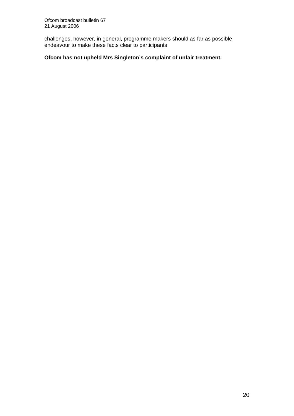challenges, however, in general, programme makers should as far as possible endeavour to make these facts clear to participants.

#### **Ofcom has not upheld Mrs Singleton's complaint of unfair treatment.**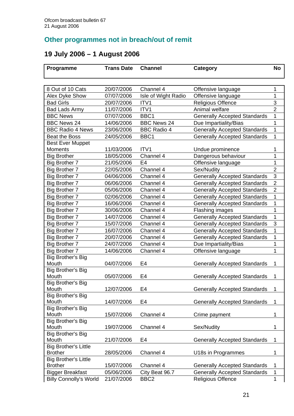# **Other programmes not in breach/out of remit**

# **19 July 2006 – 1 August 2006**

| Programme                     | <b>Trans Date</b>        | <b>Channel</b>      | <b>Category</b>                     | <b>No</b>           |
|-------------------------------|--------------------------|---------------------|-------------------------------------|---------------------|
|                               |                          |                     |                                     |                     |
|                               |                          |                     |                                     |                     |
| 8 Out of 10 Cats              | 20/07/2006<br>07/07/2006 | Channel 4           | Offensive language                  | 1<br>1              |
| Alex Dyke Show                |                          | Isle of Wight Radio | Offensive language                  |                     |
| <b>Bad Girls</b>              | 20/07/2006               | ITV1                | <b>Religious Offence</b>            | 3<br>$\overline{2}$ |
| <b>Bad Lads Army</b>          | 11/07/2006               | ITV1                | Animal welfare                      |                     |
| <b>BBC News</b>               | 07/07/2006               | BBC1                | <b>Generally Accepted Standards</b> | 1                   |
| <b>BBC News 24</b>            | 14/06/2006               | <b>BBC News 24</b>  | Due Impartiality/Bias               | 1                   |
| <b>BBC Radio 4 News</b>       | 23/06/2006               | <b>BBC Radio 4</b>  | <b>Generally Accepted Standards</b> | 1                   |
| <b>Beat the Boss</b>          | 24/05/2006               | BBC1                | <b>Generally Accepted Standards</b> | $\overline{1}$      |
| <b>Best Ever Muppet</b>       |                          |                     |                                     |                     |
| Moments                       | 11/03/2006               | ITV <sub>1</sub>    | Undue prominence                    | 1                   |
| <b>Big Brother</b>            | 18/05/2006               | Channel 4           | Dangerous behaviour                 | 1                   |
| <b>Big Brother 7</b>          | 21/05/2006               | E <sub>4</sub>      | Offensive language                  | 1                   |
| <b>Big Brother 7</b>          | 22/05/2006               | Channel 4           | Sex/Nudity                          | $\overline{2}$      |
| <b>Big Brother 7</b>          | 04/06/2006               | Channel 4           | <b>Generally Accepted Standards</b> | 3                   |
| <b>Big Brother 7</b>          | 06/06/2006               | Channel 4           | <b>Generally Accepted Standards</b> | $\overline{2}$      |
| <b>Big Brother 7</b>          | 05/06/2006               | Channel 4           | <b>Generally Accepted Standards</b> | $\overline{2}$      |
| <b>Big Brother 7</b>          | 02/06/2006               | Channel 4           | <b>Generally Accepted Standards</b> | 1                   |
| <b>Big Brother 7</b>          | 16/06/2006               | Channel 4           | <b>Generally Accepted Standards</b> | 1                   |
| <b>Big Brother 7</b>          | 30/06/2006               | Channel 4           | Flashing images                     | 1                   |
| <b>Big Brother 7</b>          | 14/07/2006               | Channel 4           | <b>Generally Accepted Standards</b> | 1                   |
| <b>Big Brother 7</b>          | 15/07/2006               | Channel 4           | <b>Generally Accepted Standards</b> | 3                   |
| <b>Big Brother 7</b>          | 16/07/2006               | Channel 4           | <b>Generally Accepted Standards</b> | 1                   |
| <b>Big Brother 7</b>          | 20/07/2006               | Channel 4           | <b>Generally Accepted Standards</b> | 1                   |
| <b>Big Brother 7</b>          | 24/07/2006               | Channel 4           | Due Impartiality/Bias               | 1                   |
| <b>Big Brother 7</b>          | 14/06/2006               | Channel 4           | Offensive language                  | 1                   |
| Big Brother's Big             |                          |                     |                                     |                     |
| Mouth                         | 04/07/2006               | E4                  | <b>Generally Accepted Standards</b> | 1                   |
| <b>Big Brother's Big</b>      |                          |                     |                                     |                     |
| Mouth                         | 05/07/2006               | E4                  | <b>Generally Accepted Standards</b> | 1                   |
| <b>Big Brother's Big</b>      |                          |                     |                                     |                     |
| Mouth                         | 12/07/2006               | E4                  | <b>Generally Accepted Standards</b> | 1                   |
| <b>Big Brother's Big</b>      |                          |                     |                                     |                     |
| Mouth                         | 14/07/2006               | E4                  | <b>Generally Accepted Standards</b> | 1                   |
| <b>Big Brother's Big</b>      |                          |                     |                                     |                     |
| Mouth                         | 15/07/2006               | Channel 4           | Crime payment                       | 1                   |
| <b>Big Brother's Big</b>      |                          |                     |                                     | 1                   |
| Mouth<br>Big Brother's Big    | 19/07/2006               | Channel 4           | Sex/Nudity                          |                     |
| Mouth                         | 21/07/2006               | E4                  | <b>Generally Accepted Standards</b> | 1                   |
| <b>Big Brother's Little</b>   |                          |                     |                                     |                     |
| <b>Brother</b>                | 28/05/2006               | Channel 4           | U18s in Programmes                  | 1                   |
| <b>Big Brother's Little</b>   |                          |                     |                                     |                     |
| <b>Brother</b>                | 15/07/2006               | Channel 4           | <b>Generally Accepted Standards</b> | 1                   |
| <b>Bigger Breakfast</b>       | 05/06/2006               | City Beat 96.7      | <b>Generally Accepted Standards</b> | 1                   |
| <b>Billy Connolly's World</b> | 21/07/2006               | BBC <sub>2</sub>    | <b>Religious Offence</b>            | 1                   |
|                               |                          |                     |                                     |                     |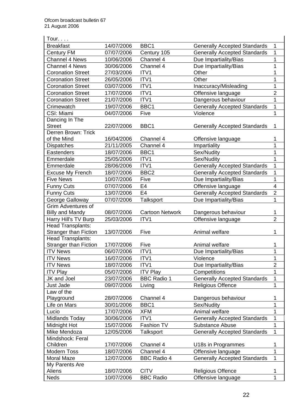| Tour. $\ldots$               |            |                        |                                     |                |
|------------------------------|------------|------------------------|-------------------------------------|----------------|
| <b>Breakfast</b>             | 14/07/2006 | BBC1                   | <b>Generally Accepted Standards</b> | 1              |
| <b>Century FM</b>            | 07/07/2006 | Century 105            | <b>Generally Accepted Standards</b> | 1              |
| <b>Channel 4 News</b>        | 10/06/2006 | Channel 4              | Due Impartiality/Bias               | 1              |
| Channel 4 News               | 30/06/2006 | Channel 4              | Due Impartiality/Bias               | $\mathbf 1$    |
| <b>Coronation Street</b>     | 27/03/2006 | ITV1                   | Other                               | 1              |
| <b>Coronation Street</b>     | 26/05/2006 | ITV1                   | Other                               | 1              |
| <b>Coronation Street</b>     | 03/07/2006 | ITV1                   | Inaccuracy/Misleading               | 1              |
| <b>Coronation Street</b>     | 17/07/2006 | ITV1                   | Offensive language                  | $\overline{2}$ |
| <b>Coronation Street</b>     | 21/07/2006 | ITV1                   | Dangerous behaviour                 | $\mathbf{1}$   |
| Crimewatch                   | 19/07/2006 | BBC1                   | <b>Generally Accepted Standards</b> | 1              |
| CSI: Miami                   | 04/07/2006 | Five                   | Violence                            | $\mathbf 1$    |
| Dancing In The               |            |                        |                                     |                |
| <b>Street</b>                | 22/07/2006 | BBC1                   | <b>Generally Accepted Standards</b> | 1              |
| Derren Brown: Trick          |            |                        |                                     |                |
| of the Mind                  | 16/04/2006 | Channel 4              | Offensive language                  | 1              |
| <b>Dispatches</b>            | 21/11/2005 | Channel 4              | Impartiality                        | 1              |
| Eastenders                   | 18/07/2006 | BBC1                   | Sex/Nudity                          | 1              |
| Emmerdale                    | 25/05/2006 | ITV1                   | Sex/Nudity                          | 1              |
| Emmerdale                    | 28/06/2006 | ITV1                   | <b>Generally Accepted Standards</b> | 1              |
| <b>Excuse My French</b>      | 18/07/2006 | BBC <sub>2</sub>       | <b>Generally Accepted Standards</b> | 1              |
| <b>Five News</b>             | 10/07/2006 | Five                   | Due Impartiality/Bias               | 1              |
| <b>Funny Cuts</b>            | 07/07/2006 | E <sub>4</sub>         | Offensive language                  | $\overline{4}$ |
| <b>Funny Cuts</b>            | 13/07/2006 | E <sub>4</sub>         | <b>Generally Accepted Standards</b> | $\overline{2}$ |
| George Galloway              | 07/07/2006 | Talksport              | Due Impartiality/Bias               | 1              |
| <b>Grim Adventures of</b>    |            |                        |                                     |                |
| <b>Billy and Mandy</b>       | 08/07/2006 | <b>Cartoon Network</b> | Dangerous behaviour                 | 1              |
| Harry Hill's TV Burp         | 25/03/2006 | ITV1                   | Offensive language                  | $\overline{2}$ |
| <b>Head Transplants:</b>     |            |                        |                                     |                |
| <b>Stranger than Fiction</b> | 13/07/2006 | Five                   | Animal welfare                      | 1              |
| <b>Head Transplants:</b>     |            |                        |                                     |                |
| <b>Stranger than Fiction</b> | 17/07/2006 | Five                   | Animal welfare                      | 1              |
| <b>ITV News</b>              | 06/07/2006 | ITV1                   | Due Impartiality/Bias               | $\overline{1}$ |
| <b>ITV News</b>              | 16/07/2006 | ITV1                   | Violence                            | 1              |
| <b>ITV News</b>              | 18/07/2006 | ITV1                   | Due Impartiality/Bias               | $\overline{2}$ |
| <b>ITV Play</b>              | 05/07/2006 | <b>ITV Play</b>        | Competitions                        | 1              |
| JK and Joel                  | 23/07/2006 | <b>BBC Radio 1</b>     | <b>Generally Accepted Standards</b> | 1              |
| Just Jade                    | 09/07/2006 | Living                 | <b>Religious Offence</b>            | $\mathbf 1$    |
| Law of the                   |            |                        |                                     |                |
| Playground                   | 28/07/2006 | Channel 4              | Dangerous behaviour                 | 1              |
| Life on Mars                 | 30/01/2006 | BBC1                   | Sex/Nudity                          | 1              |
| Lucio                        | 17/07/2006 | <b>XFM</b>             | Animal welfare                      | 1              |
| Midlands Today               | 30/06/2006 | ITV1                   | <b>Generally Accepted Standards</b> | 1              |
| Midnight Hot                 | 15/07/2006 | Fashion TV             | <b>Substance Abuse</b>              | 1              |
| Mike Mendoza                 | 12/05/2006 | <b>Talksport</b>       | <b>Generally Accepted Standards</b> | $\mathbf{1}$   |
| Mindshock: Feral             |            |                        |                                     |                |
| Children                     | 17/07/2006 | Channel 4              | U18s in Programmes                  | 1              |
| <b>Modern Toss</b>           | 18/07/2006 | Channel 4              | Offensive language                  | 1              |
| Moral Maze                   | 12/07/2006 | <b>BBC Radio 4</b>     | <b>Generally Accepted Standards</b> | $\mathbf{1}$   |
| My Parents Are               |            |                        |                                     |                |
| Aliens                       | 18/07/2006 | <b>CITV</b>            | <b>Religious Offence</b>            | 1              |
| <b>Neds</b>                  | 10/07/2006 | <b>BBC Radio</b>       | Offensive language                  | 1              |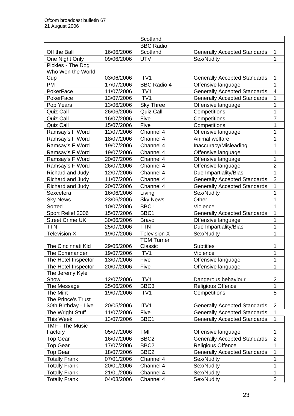|                           |            | Scotland           |                                     |                         |
|---------------------------|------------|--------------------|-------------------------------------|-------------------------|
|                           |            | <b>BBC Radio</b>   |                                     |                         |
| Off the Ball              | 16/06/2006 | Scotland           | <b>Generally Accepted Standards</b> | 1                       |
| One Night Only            | 09/06/2006 | <b>UTV</b>         | Sex/Nudity                          | 1                       |
| Pickles - The Dog         |            |                    |                                     |                         |
| Who Won the World         |            |                    |                                     |                         |
| Cup                       | 03/06/2006 | ITV <sub>1</sub>   | <b>Generally Accepted Standards</b> | 1                       |
| PM                        | 17/07/2006 | <b>BBC Radio 4</b> | Offensive language                  | 1                       |
| PokerFace                 | 11/07/2006 | ITV1               | <b>Generally Accepted Standards</b> | $\overline{\mathbf{4}}$ |
| PokerFace                 | 13/07/2006 | ITV <sub>1</sub>   | <b>Generally Accepted Standards</b> | 1                       |
| Pop Years                 | 13/06/2006 | <b>Sky Three</b>   | Offensive language                  | 1                       |
| Quiz Call                 | 26/06/2006 | Quiz Call          | Competitions                        | 1                       |
| <b>Quiz Call</b>          | 16/07/2006 | Five               | Competitions                        | $\overline{7}$          |
| Quiz Call                 | 15/07/2006 | Five               | Competitions                        | 1                       |
| Ramsay's F Word           | 12/07/2006 | Channel 4          | Offensive language                  | 1                       |
| Ramsay's F Word           | 18/07/2006 | Channel 4          | Animal welfare                      | 1                       |
| Ramsay's F Word           | 19/07/2006 | Channel 4          | Inaccuracy/Misleading               | 1                       |
| Ramsay's F Word           | 19/07/2006 | Channel 4          | Offensive language                  | 1                       |
| Ramsay's F Word           | 20/07/2006 | Channel 4          | Offensive language                  | 1                       |
| Ramsay's F Word           | 26/07/2006 | Channel 4          | Offensive language                  | $\overline{2}$          |
| Richard and Judy          | 12/07/2006 | Channel 4          | Due Impartiality/Bias               | $\mathbf 1$             |
| Richard and Judy          | 11/07/2006 | Channel 4          | <b>Generally Accepted Standards</b> | 3                       |
| Richard and Judy          | 20/07/2006 | Channel 4          | <b>Generally Accepted Standards</b> | $\overline{1}$          |
| Sexcetera                 | 16/06/2006 | Living             | Sex/Nudity                          | 1                       |
| <b>Sky News</b>           | 23/06/2006 | <b>Sky News</b>    | Other                               | 1                       |
| Sorted                    | 10/07/2006 | BBC1               | Violence                            | 1                       |
| Sport Relief 2006         | 15/07/2006 | BBC1               | <b>Generally Accepted Standards</b> | 1                       |
| <b>Street Crime UK</b>    | 30/06/2006 | <b>Bravo</b>       | Offensive language                  | 1                       |
| TTN                       | 25/07/2006 | <b>TTN</b>         | Due Impartiality/Bias               | 1                       |
| <b>Television X</b>       | 19/07/2006 | Television X       | Sex/Nudity                          | 1                       |
|                           |            | <b>TCM Turner</b>  |                                     |                         |
| <b>The Cincinnati Kid</b> | 29/05/2006 | Classic            | <b>Subtitles</b>                    | 1                       |
| The Commander             | 19/07/2006 | ITV1               | Violence                            | 1                       |
| The Hotel Inspector       | 13/07/2006 | Five               | Offensive language                  | 1                       |
| The Hotel Inspector       | 20/07/2006 | Five               | Offensive language                  | 1                       |
| The Jeremy Kyle           |            |                    |                                     |                         |
| Show                      | 12/07/2006 | ITV1               | Dangerous behaviour                 | $\overline{2}$          |
| The Message               | 25/06/2006 | BBC <sub>3</sub>   | Religious Offence                   | 1                       |
| The Mint                  | 19/07/2006 | ITV1               | Competitions                        | 5                       |
| The Prince's Trust        |            |                    |                                     |                         |
| 30th Birthday - Live      | 20/05/2006 | ITV1               | <b>Generally Accepted Standards</b> | $\overline{2}$          |
| The Wright Stuff          | 11/07/2006 | Five               | <b>Generally Accepted Standards</b> | 1                       |
| This Week                 | 13/07/2006 | BBC1               | <b>Generally Accepted Standards</b> | $\mathbf{1}$            |
| <b>TMF - The Music</b>    |            |                    |                                     |                         |
| Factory                   | 05/07/2006 | <b>TMF</b>         | Offensive language                  | 1                       |
| <b>Top Gear</b>           | 16/07/2006 | BBC <sub>2</sub>   | <b>Generally Accepted Standards</b> | $\mathbf{2}$            |
| Top Gear                  | 17/07/2006 | BBC <sub>2</sub>   | <b>Religious Offence</b>            | 1                       |
| <b>Top Gear</b>           | 18/07/2006 | BBC <sub>2</sub>   | <b>Generally Accepted Standards</b> | 1                       |
| <b>Totally Frank</b>      | 07/01/2006 | Channel 4          | Sex/Nudity                          | 1                       |
| <b>Totally Frank</b>      | 20/01/2006 | Channel 4          | Sex/Nudity                          | 1                       |
| <b>Totally Frank</b>      | 21/01/2006 | Channel 4          | Sex/Nudity                          | 1                       |
|                           | 04/03/2006 |                    |                                     | $\overline{2}$          |
| <b>Totally Frank</b>      |            | Channel 4          | Sex/Nudity                          |                         |